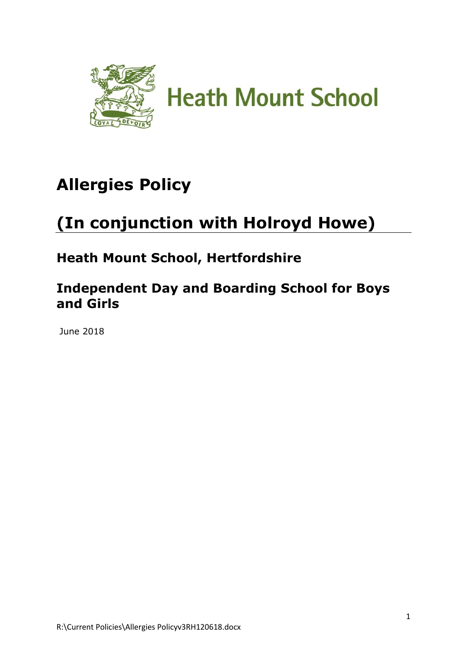

# **Allergies Policy**

# **(In conjunction with Holroyd Howe)**

## **Heath Mount School, Hertfordshire**

## **Independent Day and Boarding School for Boys and Girls**

June 2018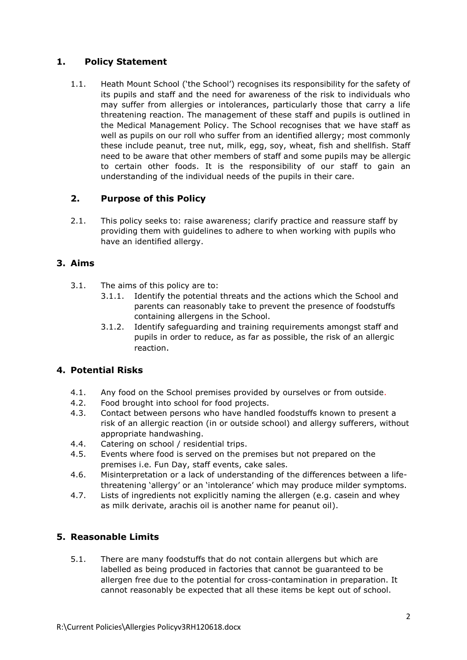#### **1. Policy Statement**

1.1. Heath Mount School ('the School') recognises its responsibility for the safety of its pupils and staff and the need for awareness of the risk to individuals who may suffer from allergies or intolerances, particularly those that carry a life threatening reaction. The management of these staff and pupils is outlined in the Medical Management Policy. The School recognises that we have staff as well as pupils on our roll who suffer from an identified allergy; most commonly these include peanut, tree nut, milk, egg, soy, wheat, fish and shellfish. Staff need to be aware that other members of staff and some pupils may be allergic to certain other foods. It is the responsibility of our staff to gain an understanding of the individual needs of the pupils in their care.

#### **2. Purpose of this Policy**

2.1. This policy seeks to: raise awareness; clarify practice and reassure staff by providing them with guidelines to adhere to when working with pupils who have an identified allergy.

#### **3. Aims**

- 3.1. The aims of this policy are to:
	- 3.1.1. Identify the potential threats and the actions which the School and parents can reasonably take to prevent the presence of foodstuffs containing allergens in the School.
	- 3.1.2. Identify safeguarding and training requirements amongst staff and pupils in order to reduce, as far as possible, the risk of an allergic reaction.

#### **4. Potential Risks**

- 4.1. Any food on the School premises provided by ourselves or from outside.
- 4.2. Food brought into school for food projects.
- 4.3. Contact between persons who have handled foodstuffs known to present a risk of an allergic reaction (in or outside school) and allergy sufferers, without appropriate handwashing.
- 4.4. Catering on school / residential trips.
- 4.5. Events where food is served on the premises but not prepared on the premises i.e. Fun Day, staff events, cake sales.
- 4.6. Misinterpretation or a lack of understanding of the differences between a lifethreatening 'allergy' or an 'intolerance' which may produce milder symptoms.
- 4.7. Lists of ingredients not explicitly naming the allergen (e.g. casein and whey as milk derivate, arachis oil is another name for peanut oil).

#### **5. Reasonable Limits**

5.1. There are many foodstuffs that do not contain allergens but which are labelled as being produced in factories that cannot be guaranteed to be allergen free due to the potential for cross-contamination in preparation. It cannot reasonably be expected that all these items be kept out of school.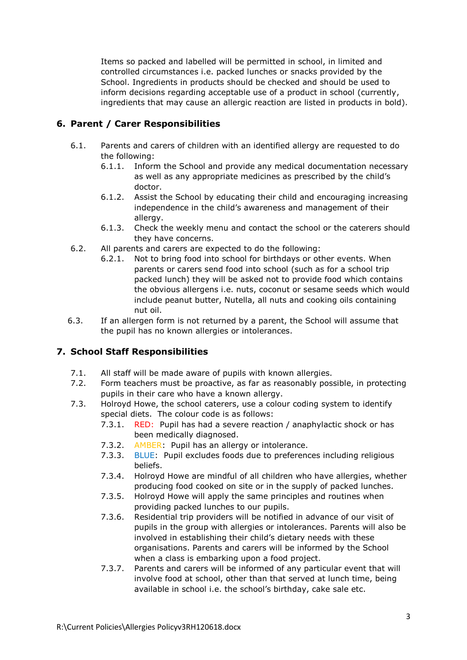Items so packed and labelled will be permitted in school, in limited and controlled circumstances i.e. packed lunches or snacks provided by the School. Ingredients in products should be checked and should be used to inform decisions regarding acceptable use of a product in school (currently, ingredients that may cause an allergic reaction are listed in products in bold).

### **6. Parent / Carer Responsibilities**

- 6.1. Parents and carers of children with an identified allergy are requested to do the following:
	- 6.1.1. Inform the School and provide any medical documentation necessary as well as any appropriate medicines as prescribed by the child's doctor.
	- 6.1.2. Assist the School by educating their child and encouraging increasing independence in the child's awareness and management of their allergy.
	- 6.1.3. Check the weekly menu and contact the school or the caterers should they have concerns.
- 6.2. All parents and carers are expected to do the following:
	- 6.2.1. Not to bring food into school for birthdays or other events. When parents or carers send food into school (such as for a school trip packed lunch) they will be asked not to provide food which contains the obvious allergens i.e. nuts, coconut or sesame seeds which would include peanut butter, Nutella, all nuts and cooking oils containing nut oil.
- 6.3. If an allergen form is not returned by a parent, the School will assume that the pupil has no known allergies or intolerances.

### **7. School Staff Responsibilities**

- 7.1. All staff will be made aware of pupils with known allergies.
- 7.2. Form teachers must be proactive, as far as reasonably possible, in protecting pupils in their care who have a known allergy.
- 7.3. Holroyd Howe, the school caterers, use a colour coding system to identify special diets. The colour code is as follows:
	- 7.3.1. RED: Pupil has had a severe reaction / anaphylactic shock or has been medically diagnosed.
	- 7.3.2. AMBER: Pupil has an allergy or intolerance.
	- 7.3.3. BLUE: Pupil excludes foods due to preferences including religious beliefs.
	- 7.3.4. Holroyd Howe are mindful of all children who have allergies, whether producing food cooked on site or in the supply of packed lunches.
	- 7.3.5. Holroyd Howe will apply the same principles and routines when providing packed lunches to our pupils.
	- 7.3.6. Residential trip providers will be notified in advance of our visit of pupils in the group with allergies or intolerances. Parents will also be involved in establishing their child's dietary needs with these organisations. Parents and carers will be informed by the School when a class is embarking upon a food project.
	- 7.3.7. Parents and carers will be informed of any particular event that will involve food at school, other than that served at lunch time, being available in school i.e. the school's birthday, cake sale etc.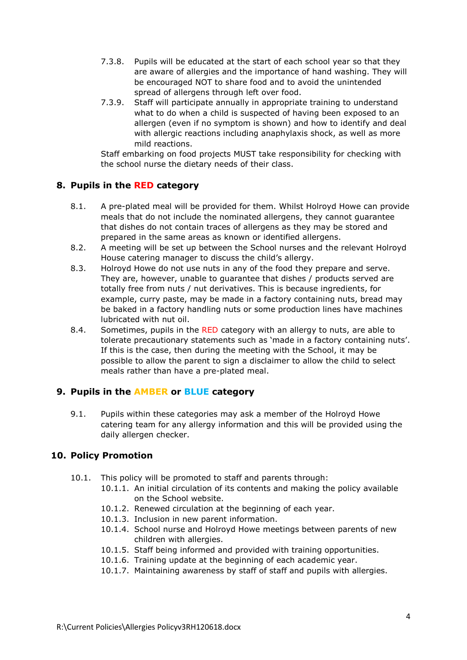- 7.3.8. Pupils will be educated at the start of each school year so that they are aware of allergies and the importance of hand washing. They will be encouraged NOT to share food and to avoid the unintended spread of allergens through left over food.
- 7.3.9. Staff will participate annually in appropriate training to understand what to do when a child is suspected of having been exposed to an allergen (even if no symptom is shown) and how to identify and deal with allergic reactions including anaphylaxis shock, as well as more mild reactions.

Staff embarking on food projects MUST take responsibility for checking with the school nurse the dietary needs of their class.

#### **8. Pupils in the RED category**

- 8.1. A pre-plated meal will be provided for them. Whilst Holroyd Howe can provide meals that do not include the nominated allergens, they cannot guarantee that dishes do not contain traces of allergens as they may be stored and prepared in the same areas as known or identified allergens.
- 8.2. A meeting will be set up between the School nurses and the relevant Holroyd House catering manager to discuss the child's allergy.
- 8.3. Holroyd Howe do not use nuts in any of the food they prepare and serve. They are, however, unable to guarantee that dishes / products served are totally free from nuts / nut derivatives. This is because ingredients, for example, curry paste, may be made in a factory containing nuts, bread may be baked in a factory handling nuts or some production lines have machines lubricated with nut oil.
- 8.4. Sometimes, pupils in the RED category with an allergy to nuts, are able to tolerate precautionary statements such as 'made in a factory containing nuts'. If this is the case, then during the meeting with the School, it may be possible to allow the parent to sign a disclaimer to allow the child to select meals rather than have a pre-plated meal.

#### **9. Pupils in the AMBER or BLUE category**

9.1. Pupils within these categories may ask a member of the Holroyd Howe catering team for any allergy information and this will be provided using the daily allergen checker.

#### **10. Policy Promotion**

- 10.1. This policy will be promoted to staff and parents through:
	- 10.1.1. An initial circulation of its contents and making the policy available on the School website.
		- 10.1.2. Renewed circulation at the beginning of each year.
		- 10.1.3. Inclusion in new parent information.
	- 10.1.4. School nurse and Holroyd Howe meetings between parents of new children with allergies.
	- 10.1.5. Staff being informed and provided with training opportunities.
	- 10.1.6. Training update at the beginning of each academic year.
	- 10.1.7. Maintaining awareness by staff of staff and pupils with allergies.